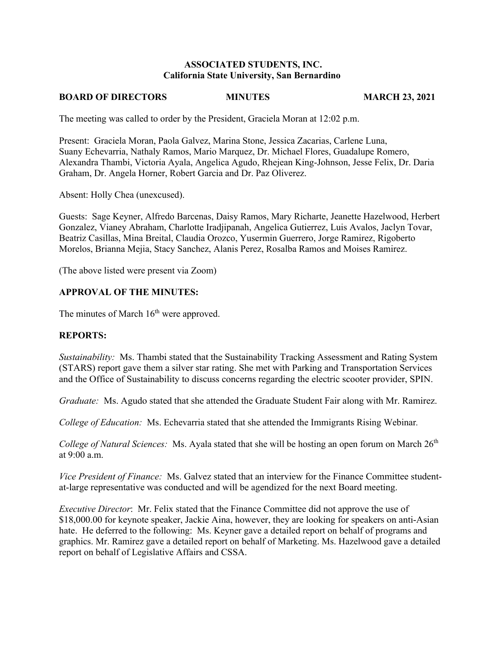#### **ASSOCIATED STUDENTS, INC. California State University, San Bernardino**

#### **BOARD OF DIRECTORS MINUTES MARCH 23, 2021**

The meeting was called to order by the President, Graciela Moran at 12:02 p.m.

Present: Graciela Moran, Paola Galvez, Marina Stone, Jessica Zacarias, Carlene Luna, Suany Echevarria, Nathaly Ramos, Mario Marquez, Dr. Michael Flores, Guadalupe Romero, Alexandra Thambi, Victoria Ayala, Angelica Agudo, Rhejean King-Johnson, Jesse Felix, Dr. Daria Graham, Dr. Angela Horner, Robert Garcia and Dr. Paz Oliverez.

Absent: Holly Chea (unexcused).

Guests: Sage Keyner, Alfredo Barcenas, Daisy Ramos, Mary Richarte, Jeanette Hazelwood, Herbert Gonzalez, Vianey Abraham, Charlotte Iradjipanah, Angelica Gutierrez, Luis Avalos, Jaclyn Tovar, Beatriz Casillas, Mina Breital, Claudia Orozco, Yusermin Guerrero, Jorge Ramirez, Rigoberto Morelos, Brianna Mejia, Stacy Sanchez, Alanis Perez, Rosalba Ramos and Moises Ramirez.

(The above listed were present via Zoom)

## **APPROVAL OF THE MINUTES:**

The minutes of March  $16<sup>th</sup>$  were approved.

#### **REPORTS:**

*Sustainability:* Ms. Thambi stated that the Sustainability Tracking Assessment and Rating System (STARS) report gave them a silver star rating. She met with Parking and Transportation Services and the Office of Sustainability to discuss concerns regarding the electric scooter provider, SPIN.

*Graduate:* Ms. Agudo stated that she attended the Graduate Student Fair along with Mr. Ramirez.

*College of Education:* Ms. Echevarria stated that she attended the Immigrants Rising Webinar*.* 

*College of Natural Sciences:* Ms. Ayala stated that she will be hosting an open forum on March 26<sup>th</sup> at 9:00 a.m.

*Vice President of Finance:* Ms. Galvez stated that an interview for the Finance Committee studentat-large representative was conducted and will be agendized for the next Board meeting.

*Executive Director*: Mr. Felix stated that the Finance Committee did not approve the use of \$18,000.00 for keynote speaker, Jackie Aina, however, they are looking for speakers on anti-Asian hate. He deferred to the following: Ms. Keyner gave a detailed report on behalf of programs and graphics. Mr. Ramirez gave a detailed report on behalf of Marketing. Ms. Hazelwood gave a detailed report on behalf of Legislative Affairs and CSSA.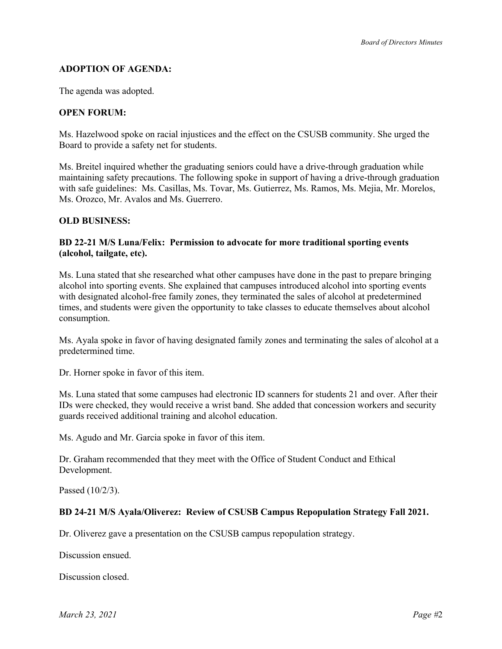# **ADOPTION OF AGENDA:**

The agenda was adopted.

## **OPEN FORUM:**

Ms. Hazelwood spoke on racial injustices and the effect on the CSUSB community. She urged the Board to provide a safety net for students.

Ms. Breitel inquired whether the graduating seniors could have a drive-through graduation while maintaining safety precautions. The following spoke in support of having a drive-through graduation with safe guidelines: Ms. Casillas, Ms. Tovar, Ms. Gutierrez, Ms. Ramos, Ms. Mejia, Mr. Morelos, Ms. Orozco, Mr. Avalos and Ms. Guerrero.

## **OLD BUSINESS:**

### **BD 22-21 M/S Luna/Felix: Permission to advocate for more traditional sporting events (alcohol, tailgate, etc).**

Ms. Luna stated that she researched what other campuses have done in the past to prepare bringing alcohol into sporting events. She explained that campuses introduced alcohol into sporting events with designated alcohol-free family zones, they terminated the sales of alcohol at predetermined times, and students were given the opportunity to take classes to educate themselves about alcohol consumption.

Ms. Ayala spoke in favor of having designated family zones and terminating the sales of alcohol at a predetermined time.

Dr. Horner spoke in favor of this item.

Ms. Luna stated that some campuses had electronic ID scanners for students 21 and over. After their IDs were checked, they would receive a wrist band. She added that concession workers and security guards received additional training and alcohol education.

Ms. Agudo and Mr. Garcia spoke in favor of this item.

Dr. Graham recommended that they meet with the Office of Student Conduct and Ethical Development.

Passed (10/2/3).

## **BD 24-21 M/S Ayala/Oliverez: Review of CSUSB Campus Repopulation Strategy Fall 2021.**

Dr. Oliverez gave a presentation on the CSUSB campus repopulation strategy.

Discussion ensued.

Discussion closed.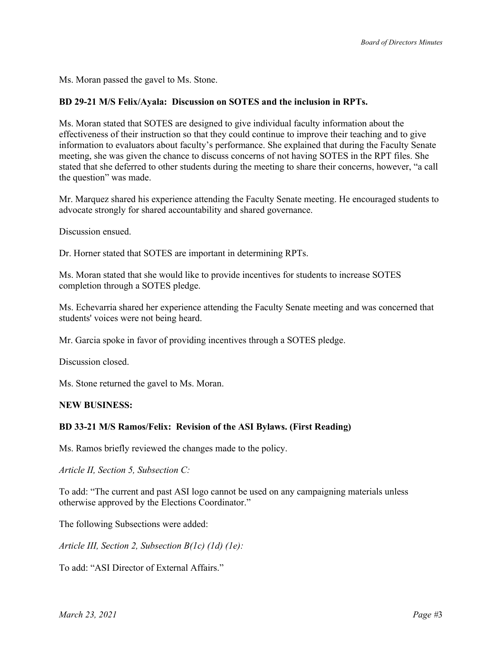Ms. Moran passed the gavel to Ms. Stone.

### **BD 29-21 M/S Felix/Ayala: Discussion on SOTES and the inclusion in RPTs.**

Ms. Moran stated that SOTES are designed to give individual faculty information about the effectiveness of their instruction so that they could continue to improve their teaching and to give information to evaluators about faculty's performance. She explained that during the Faculty Senate meeting, she was given the chance to discuss concerns of not having SOTES in the RPT files. She stated that she deferred to other students during the meeting to share their concerns, however, "a call the question" was made.

Mr. Marquez shared his experience attending the Faculty Senate meeting. He encouraged students to advocate strongly for shared accountability and shared governance.

Discussion ensued.

Dr. Horner stated that SOTES are important in determining RPTs.

Ms. Moran stated that she would like to provide incentives for students to increase SOTES completion through a SOTES pledge.

Ms. Echevarria shared her experience attending the Faculty Senate meeting and was concerned that students' voices were not being heard.

Mr. Garcia spoke in favor of providing incentives through a SOTES pledge.

Discussion closed.

Ms. Stone returned the gavel to Ms. Moran.

#### **NEW BUSINESS:**

#### **BD 33-21 M/S Ramos/Felix: Revision of the ASI Bylaws. (First Reading)**

Ms. Ramos briefly reviewed the changes made to the policy.

*Article II, Section 5, Subsection C:* 

To add: "The current and past ASI logo cannot be used on any campaigning materials unless otherwise approved by the Elections Coordinator."

The following Subsections were added:

*Article III, Section 2, Subsection B(1c) (1d) (1e):* 

To add: "ASI Director of External Affairs."